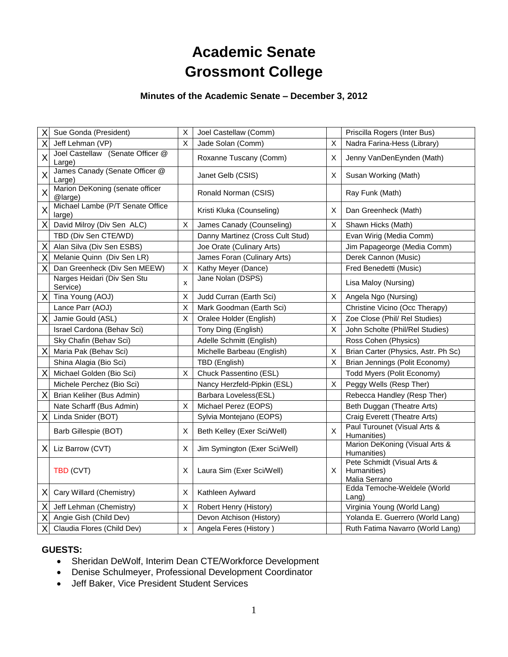# **Academic Senate Grossmont College**

#### **Minutes of the Academic Senate – December 3, 2012**

| X  | Sue Gonda (President)                      | $\mathsf X$  | Joel Castellaw (Comm)            |    | Priscilla Rogers (Inter Bus)                                |
|----|--------------------------------------------|--------------|----------------------------------|----|-------------------------------------------------------------|
| X  | Jeff Lehman (VP)                           | $\mathsf{X}$ | Jade Solan (Comm)                | X  | Nadra Farina-Hess (Library)                                 |
| X  | Joel Castellaw (Senate Officer @<br>Large) |              | Roxanne Tuscany (Comm)           | X  | Jenny VanDenEynden (Math)                                   |
| X  | James Canady (Senate Officer @<br>Large)   |              | Janet Gelb (CSIS)                | х  | Susan Working (Math)                                        |
| X  | Marion DeKoning (senate officer<br>@large) |              | Ronald Norman (CSIS)             |    | Ray Funk (Math)                                             |
| X  | Michael Lambe (P/T Senate Office<br>large) |              | Kristi Kluka (Counseling)        | Χ  | Dan Greenheck (Math)                                        |
| X  | David Milroy (Div Sen ALC)                 | X            | James Canady (Counseling)        | X  | Shawn Hicks (Math)                                          |
|    | TBD (Div Sen CTE/WD)                       |              | Danny Martinez (Cross Cult Stud) |    | Evan Wirig (Media Comm)                                     |
| Χ  | Alan Silva (Div Sen ESBS)                  |              | Joe Orate (Culinary Arts)        |    | Jim Papageorge (Media Comm)                                 |
| Χ  | Melanie Quinn (Div Sen LR)                 |              | James Foran (Culinary Arts)      |    | Derek Cannon (Music)                                        |
| X  | Dan Greenheck (Div Sen MEEW)               | X            | Kathy Meyer (Dance)              |    | Fred Benedetti (Music)                                      |
|    | Narges Heidari (Div Sen Stu<br>Service)    | X            | Jane Nolan (DSPS)                |    | Lisa Maloy (Nursing)                                        |
| Χ  | Tina Young (AOJ)                           | Χ            | Judd Curran (Earth Sci)          | х  | Angela Ngo (Nursing)                                        |
|    | Lance Parr (AOJ)                           | $\mathsf X$  | Mark Goodman (Earth Sci)         |    | Christine Vicino (Occ Therapy)                              |
| X  | Jamie Gould (ASL)                          | X            | Oralee Holder (English)          | х  | Zoe Close (Phil/ Rel Studies)                               |
|    | Israel Cardona (Behav Sci)                 |              | Tony Ding (English)              | X  | John Scholte (Phil/Rel Studies)                             |
|    | Sky Chafin (Behav Sci)                     |              | Adelle Schmitt (English)         |    | Ross Cohen (Physics)                                        |
| Χ  | Maria Pak (Behav Sci)                      |              | Michelle Barbeau (English)       | X  | Brian Carter (Physics, Astr. Ph Sc)                         |
|    | Shina Alagia (Bio Sci)                     |              | TBD (English)                    | X  | Brian Jennings (Polit Economy)                              |
| Χ  | Michael Golden (Bio Sci)                   | X            | Chuck Passentino (ESL)           |    | Todd Myers (Polit Economy)                                  |
|    | Michele Perchez (Bio Sci)                  |              | Nancy Herzfeld-Pipkin (ESL)      | X  | Peggy Wells (Resp Ther)                                     |
| Χ  | Brian Keliher (Bus Admin)                  |              | Barbara Loveless(ESL)            |    | Rebecca Handley (Resp Ther)                                 |
|    | Nate Scharff (Bus Admin)                   | X            | Michael Perez (EOPS)             |    | Beth Duggan (Theatre Arts)                                  |
| Χ  | Linda Snider (BOT)                         |              | Sylvia Montejano (EOPS)          |    | Craig Everett (Theatre Arts)                                |
|    | Barb Gillespie (BOT)                       | Χ            | Beth Kelley (Exer Sci/Well)      | X  | Paul Turounet (Visual Arts &<br>Humanities)                 |
|    | $X$ Liz Barrow (CVT)                       | X            | Jim Symington (Exer Sci/Well)    |    | Marion DeKoning (Visual Arts &<br>Humanities)               |
|    | TBD (CVT)                                  | X            | Laura Sim (Exer Sci/Well)        | X. | Pete Schmidt (Visual Arts &<br>Humanities)<br>Malia Serrano |
| ΧI | Cary Willard (Chemistry)                   | Х            | Kathleen Aylward                 |    | Edda Temoche-Weldele (World<br>Lang)                        |
| Χ  | Jeff Lehman (Chemistry)                    | X            | Robert Henry (History)           |    | Virginia Young (World Lang)                                 |
| X  | Angie Gish (Child Dev)                     |              | Devon Atchison (History)         |    | Yolanda E. Guerrero (World Lang)                            |
| Χ  | Claudia Flores (Child Dev)                 | X            | Angela Feres (History)           |    | Ruth Fatima Navarro (World Lang)                            |

# **GUESTS:**

- Sheridan DeWolf, Interim Dean CTE/Workforce Development
- Denise Schulmeyer, Professional Development Coordinator
- Jeff Baker, Vice President Student Services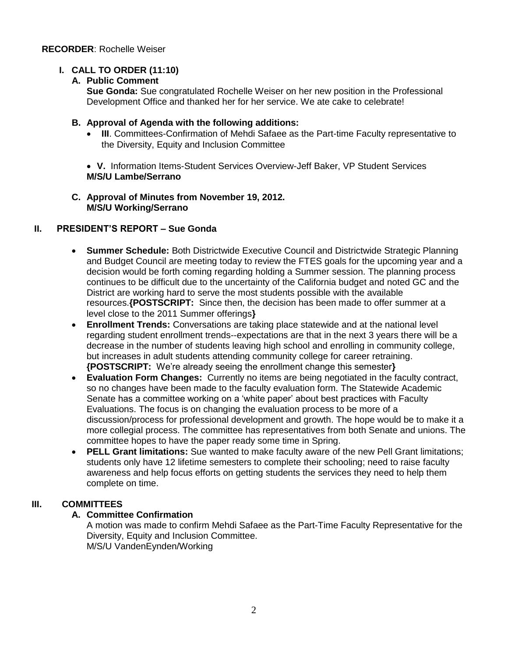# **I. CALL TO ORDER (11:10)**

#### **A. Public Comment**

**Sue Gonda:** Sue congratulated Rochelle Weiser on her new position in the Professional Development Office and thanked her for her service. We ate cake to celebrate!

#### **B. Approval of Agenda with the following additions:**

 **III**. Committees-Confirmation of Mehdi Safaee as the Part-time Faculty representative to the Diversity, Equity and Inclusion Committee

 **V.** Information Items-Student Services Overview-Jeff Baker, VP Student Services **M/S/U Lambe/Serrano**

#### **C. Approval of Minutes from November 19, 2012. M/S/U Working/Serrano**

# **II. PRESIDENT'S REPORT – Sue Gonda**

- **Summer Schedule:** Both Districtwide Executive Council and Districtwide Strategic Planning and Budget Council are meeting today to review the FTES goals for the upcoming year and a decision would be forth coming regarding holding a Summer session. The planning process continues to be difficult due to the uncertainty of the California budget and noted GC and the District are working hard to serve the most students possible with the available resources.**{POSTSCRIPT:** Since then, the decision has been made to offer summer at a level close to the 2011 Summer offerings**}**
- **Enrollment Trends:** Conversations are taking place statewide and at the national level regarding student enrollment trends--expectations are that in the next 3 years there will be a decrease in the number of students leaving high school and enrolling in community college, but increases in adult students attending community college for career retraining. **{POSTSCRIPT:** We're already seeing the enrollment change this semester**}**
- **Evaluation Form Changes:** Currently no items are being negotiated in the faculty contract, so no changes have been made to the faculty evaluation form. The Statewide Academic Senate has a committee working on a 'white paper' about best practices with Faculty Evaluations. The focus is on changing the evaluation process to be more of a discussion/process for professional development and growth. The hope would be to make it a more collegial process. The committee has representatives from both Senate and unions. The committee hopes to have the paper ready some time in Spring.
- **PELL Grant limitations:** Sue wanted to make faculty aware of the new Pell Grant limitations; students only have 12 lifetime semesters to complete their schooling; need to raise faculty awareness and help focus efforts on getting students the services they need to help them complete on time.

# **III. COMMITTEES**

# **A. Committee Confirmation**

A motion was made to confirm Mehdi Safaee as the Part-Time Faculty Representative for the Diversity, Equity and Inclusion Committee. M/S/U VandenEynden/Working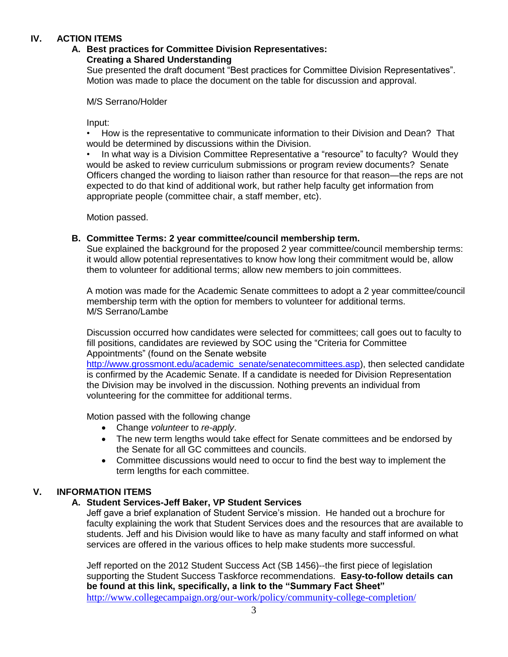# **IV. ACTION ITEMS**

### **A. Best practices for Committee Division Representatives:**

#### **Creating a Shared Understanding**

Sue presented the draft document "Best practices for Committee Division Representatives". Motion was made to place the document on the table for discussion and approval.

M/S Serrano/Holder

Input:

• How is the representative to communicate information to their Division and Dean? That would be determined by discussions within the Division.

• In what way is a Division Committee Representative a "resource" to faculty? Would they would be asked to review curriculum submissions or program review documents? Senate Officers changed the wording to liaison rather than resource for that reason—the reps are not expected to do that kind of additional work, but rather help faculty get information from appropriate people (committee chair, a staff member, etc).

Motion passed.

#### **B. Committee Terms: 2 year committee/council membership term.**

Sue explained the background for the proposed 2 year committee/council membership terms: it would allow potential representatives to know how long their commitment would be, allow them to volunteer for additional terms; allow new members to join committees.

A motion was made for the Academic Senate committees to adopt a 2 year committee/council membership term with the option for members to volunteer for additional terms. M/S Serrano/Lambe

Discussion occurred how candidates were selected for committees; call goes out to faculty to fill positions, candidates are reviewed by SOC using the "Criteria for Committee Appointments" (found on the Senate website

[http://www.grossmont.edu/academic\\_senate/senatecommittees.asp\)](http://www.grossmont.edu/academic_senate/senatecommittees.asp), then selected candidate is confirmed by the Academic Senate. If a candidate is needed for Division Representation the Division may be involved in the discussion. Nothing prevents an individual from volunteering for the committee for additional terms.

Motion passed with the following change

- Change *volunteer* to *re-apply*.
- The new term lengths would take effect for Senate committees and be endorsed by the Senate for all GC committees and councils.
- Committee discussions would need to occur to find the best way to implement the term lengths for each committee.

# **V. INFORMATION ITEMS**

#### **A. Student Services-Jeff Baker, VP Student Services**

Jeff gave a brief explanation of Student Service's mission. He handed out a brochure for faculty explaining the work that Student Services does and the resources that are available to students. Jeff and his Division would like to have as many faculty and staff informed on what services are offered in the various offices to help make students more successful.

Jeff reported on the 2012 Student Success Act (SB 1456)--the first piece of legislation supporting the Student Success Taskforce recommendations. **Easy-to-follow details can be found at this link, specifically, a link to the "Summary Fact Sheet"**  <http://www.collegecampaign.org/our-work/policy/community-college-completion/>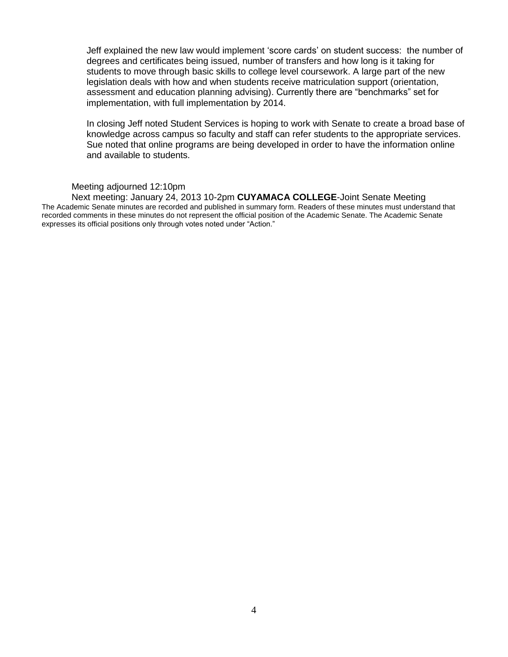Jeff explained the new law would implement 'score cards' on student success: the number of degrees and certificates being issued, number of transfers and how long is it taking for students to move through basic skills to college level coursework. A large part of the new legislation deals with how and when students receive matriculation support (orientation, assessment and education planning advising). Currently there are "benchmarks" set for implementation, with full implementation by 2014.

In closing Jeff noted Student Services is hoping to work with Senate to create a broad base of knowledge across campus so faculty and staff can refer students to the appropriate services. Sue noted that online programs are being developed in order to have the information online and available to students.

#### Meeting adjourned 12:10pm

Next meeting: January 24, 2013 10-2pm **CUYAMACA COLLEGE**-Joint Senate Meeting The Academic Senate minutes are recorded and published in summary form. Readers of these minutes must understand that recorded comments in these minutes do not represent the official position of the Academic Senate. The Academic Senate expresses its official positions only through votes noted under "Action."